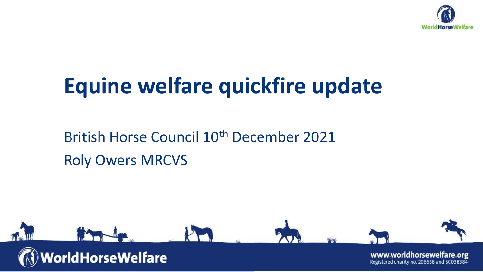

### **Equine welfare quickfire update**

#### British Horse Council 10th December 2021 Roly Owers MRCVS

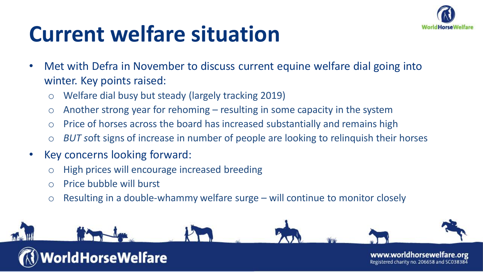

### **Current welfare situation**

- Met with Defra in November to discuss current equine welfare dial going into winter. Key points raised:
	- o Welfare dial busy but steady (largely tracking 2019)
	- $\circ$  Another strong year for rehoming resulting in some capacity in the system
	- o Price of horses across the board has increased substantially and remains high
	- o *BUT s*oft signs of increase in number of people are looking to relinquish their horses
- Key concerns looking forward:
	- o High prices will encourage increased breeding
	- o Price bubble will burst
	- o Resulting in a double-whammy welfare surge will continue to monitor closely

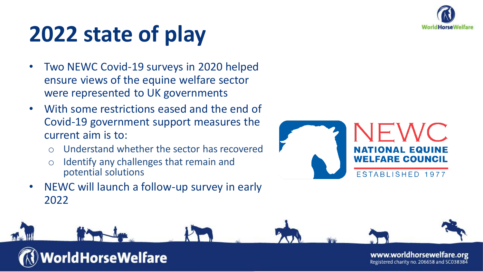

# **2022 state of play**

- Two NEWC Covid-19 surveys in 2020 helped ensure views of the equine welfare sector were represented to UK governments
- With some restrictions eased and the end of Covid-19 government support measures the current aim is to:
	- o Understand whether the sector has recovered
	- o Identify any challenges that remain and potential solutions
- NEWC will launch a follow-up survey in early 2022



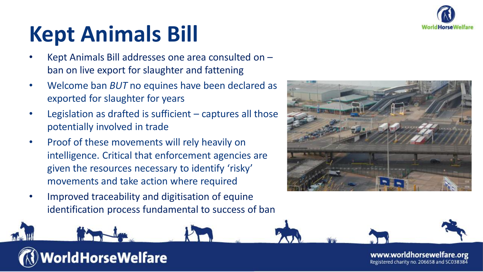

## **Kept Animals Bill**

- Kept Animals Bill addresses one area consulted on ban on live export for slaughter and fattening
- Welcome ban *BUT* no equines have been declared as exported for slaughter for years
- Legislation as drafted is sufficient  $-$  captures all those potentially involved in trade
- Proof of these movements will rely heavily on intelligence. Critical that enforcement agencies are given the resources necessary to identify 'risky' movements and take action where required
- Improved traceability and digitisation of equine identification process fundamental to success of ban



#### **/orldHorseWelfare**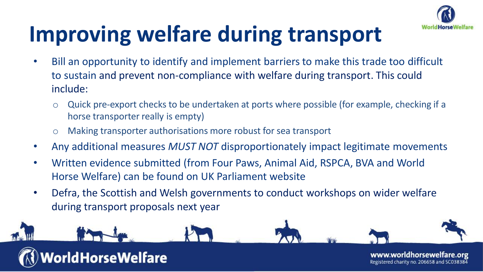

# **Improving welfare during transport**

- Bill an opportunity to identify and implement barriers to make this trade too difficult to sustain and prevent non-compliance with welfare during transport. This could include:
	- o Quick pre-export checks to be undertaken at ports where possible (for example, checking if a horse transporter really is empty)
	- o Making transporter authorisations more robust for sea transport
- Any additional measures *MUST NOT* disproportionately impact legitimate movements
- Written evidence submitted (from Four Paws, Animal Aid, RSPCA, BVA and World Horse Welfare) can be found on UK Parliament website
- Defra, the Scottish and Welsh governments to conduct workshops on wider welfare during transport proposals next year